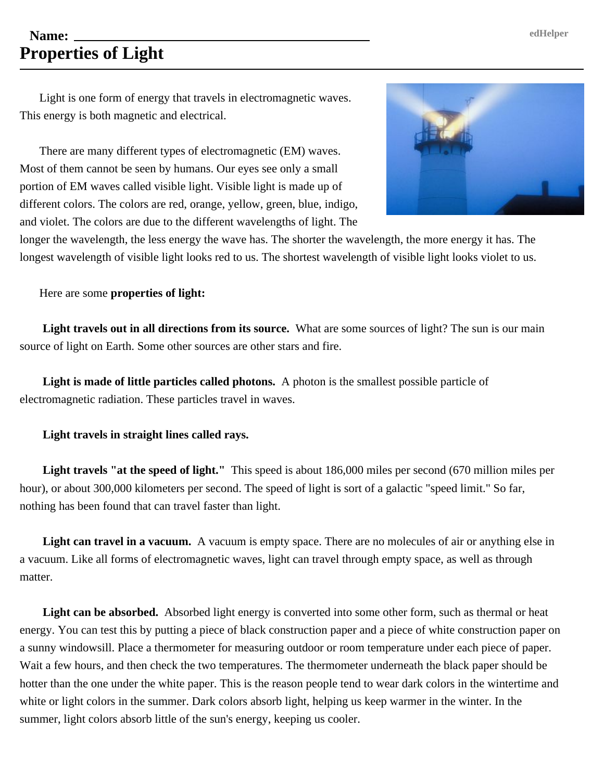## **Name: edHelper Properties of Light**

Light is one form of energy that travels in electromagnetic waves. This energy is both magnetic and electrical.

There are many different types of electromagnetic (EM) waves. Most of them cannot be seen by humans. Our eyes see only a small portion of EM waves called visible light. Visible light is made up of different colors. The colors are red, orange, yellow, green, blue, indigo, and violet. The colors are due to the different wavelengths of light. The



longer the wavelength, the less energy the wave has. The shorter the wavelength, the more energy it has. The longest wavelength of visible light looks red to us. The shortest wavelength of visible light looks violet to us.

Here are some **properties of light:**

**Light travels out in all directions from its source.** What are some sources of light? The sun is our main source of light on Earth. Some other sources are other stars and fire.

**Light is made of little particles called photons.** A photon is the smallest possible particle of electromagnetic radiation. These particles travel in waves.

#### **Light travels in straight lines called rays.**

**Light travels "at the speed of light."** This speed is about 186,000 miles per second (670 million miles per hour), or about 300,000 kilometers per second. The speed of light is sort of a galactic "speed limit." So far, nothing has been found that can travel faster than light.

**Light can travel in a vacuum.** A vacuum is empty space. There are no molecules of air or anything else in a vacuum. Like all forms of electromagnetic waves, light can travel through empty space, as well as through matter.

Light can be absorbed. Absorbed light energy is converted into some other form, such as thermal or heat energy. You can test this by putting a piece of black construction paper and a piece of white construction paper on a sunny windowsill. Place a thermometer for measuring outdoor or room temperature under each piece of paper. Wait a few hours, and then check the two temperatures. The thermometer underneath the black paper should be hotter than the one under the white paper. This is the reason people tend to wear dark colors in the wintertime and white or light colors in the summer. Dark colors absorb light, helping us keep warmer in the winter. In the summer, light colors absorb little of the sun's energy, keeping us cooler.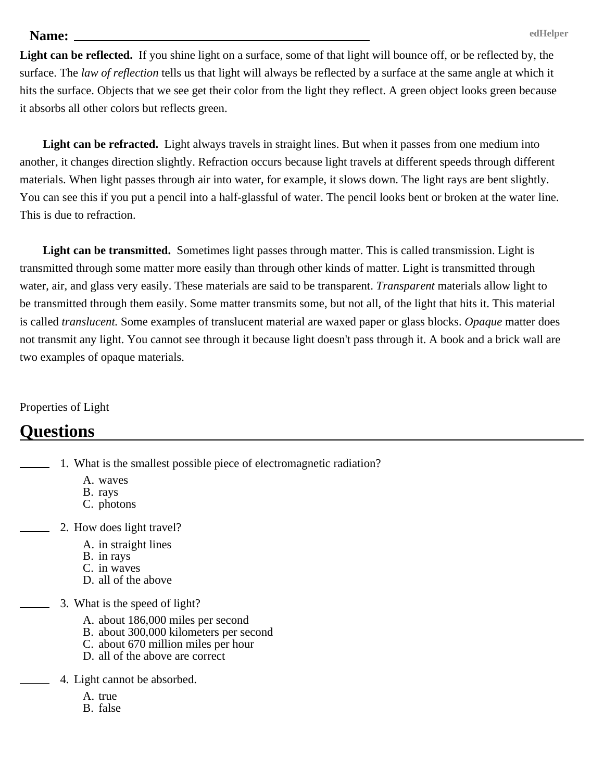Light can be reflected. If you shine light on a surface, some of that light will bounce off, or be reflected by, the surface. The *law of reflection* tells us that light will always be reflected by a surface at the same angle at which it hits the surface. Objects that we see get their color from the light they reflect. A green object looks green because it absorbs all other colors but reflects green.

**Light can be refracted.** Light always travels in straight lines. But when it passes from one medium into another, it changes direction slightly. Refraction occurs because light travels at different speeds through different materials. When light passes through air into water, for example, it slows down. The light rays are bent slightly. You can see this if you put a pencil into a half-glassful of water. The pencil looks bent or broken at the water line. This is due to refraction.

**Light can be transmitted.** Sometimes light passes through matter. This is called transmission. Light is transmitted through some matter more easily than through other kinds of matter. Light is transmitted through water, air, and glass very easily. These materials are said to be transparent. *Transparent* materials allow light to be transmitted through them easily. Some matter transmits some, but not all, of the light that hits it. This material is called *translucent.* Some examples of translucent material are waxed paper or glass blocks. *Opaque* matter does not transmit any light. You cannot see through it because light doesn't pass through it. A book and a brick wall are two examples of opaque materials.

Properties of Light

# **Questions**

- 1. What is the smallest possible piece of electromagnetic radiation?
	- A. waves
	- B. rays
	- C. photons
- 2. How does light travel?
	- A. in straight lines
	- B. in rays
	- C. in waves
	- D. all of the above
	- 3. What is the speed of light?
		- A. about 186,000 miles per second
		- B. about 300,000 kilometers per second
		- C. about 670 million miles per hour
		- D. all of the above are correct
		- 4. Light cannot be absorbed.
			- A. true
			- B. false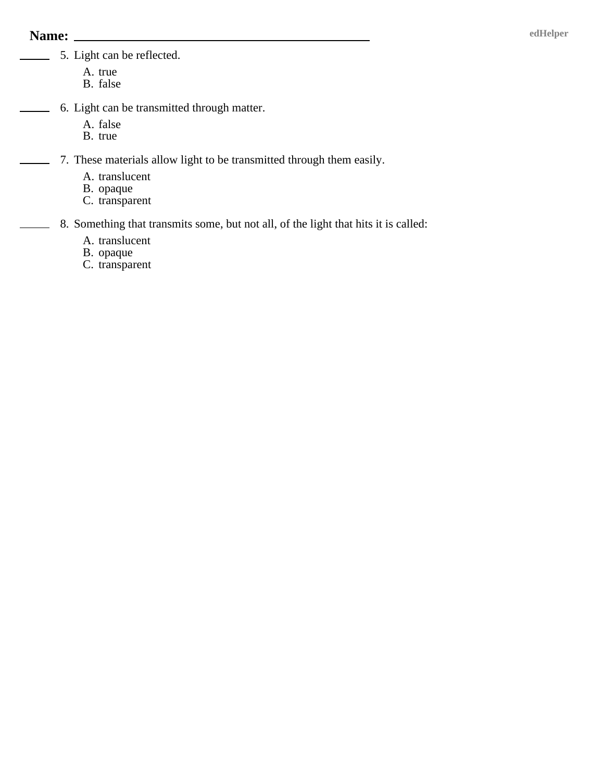### Name: <u>edHelper</u>

 $\overline{\phantom{0}}$ 

- 5. Light can be reflected.
	- A. true
	- B. false
- 6. Light can be transmitted through matter.  $\overline{\phantom{0}}$ 
	- A. false
	- B. true
	- 7. These materials allow light to be transmitted through them easily.
		- A. translucent
		- B. opaque
		- C. transparent
- 8. Something that transmits some, but not all, of the light that hits it is called:
	- A. translucent
	- B. opaque
	- C. transparent